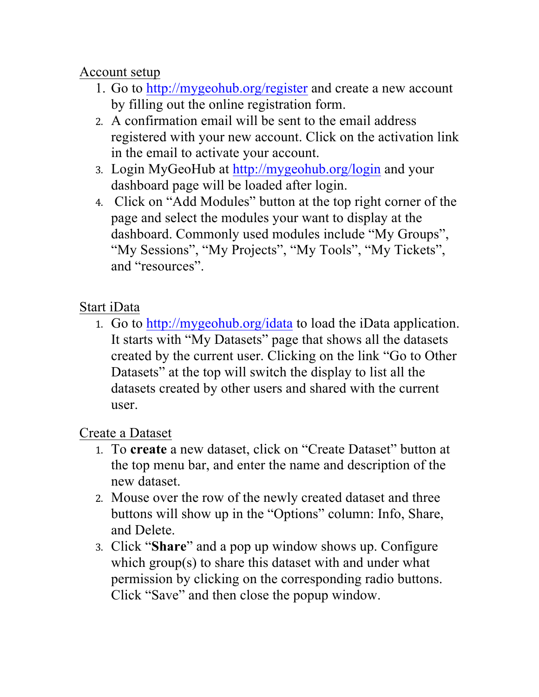Account setup

- 1. Go to http://mygeohub.org/register and create a new account by filling out the online registration form.
- 2. A confirmation email will be sent to the email address registered with your new account. Click on the activation link in the email to activate your account.
- 3. Login MyGeoHub at http://mygeohub.org/login and your dashboard page will be loaded after login.
- 4. Click on "Add Modules" button at the top right corner of the page and select the modules your want to display at the dashboard. Commonly used modules include "My Groups", "My Sessions", "My Projects", "My Tools", "My Tickets", and "resources".

## Start iData

1. Go to http://mygeohub.org/idata to load the iData application. It starts with "My Datasets" page that shows all the datasets created by the current user. Clicking on the link "Go to Other Datasets" at the top will switch the display to list all the datasets created by other users and shared with the current user.

## Create a Dataset

- 1. To **create** a new dataset, click on "Create Dataset" button at the top menu bar, and enter the name and description of the new dataset.
- 2. Mouse over the row of the newly created dataset and three buttons will show up in the "Options" column: Info, Share, and Delete.
- 3. Click "**Share**" and a pop up window shows up. Configure which group(s) to share this dataset with and under what permission by clicking on the corresponding radio buttons. Click "Save" and then close the popup window.